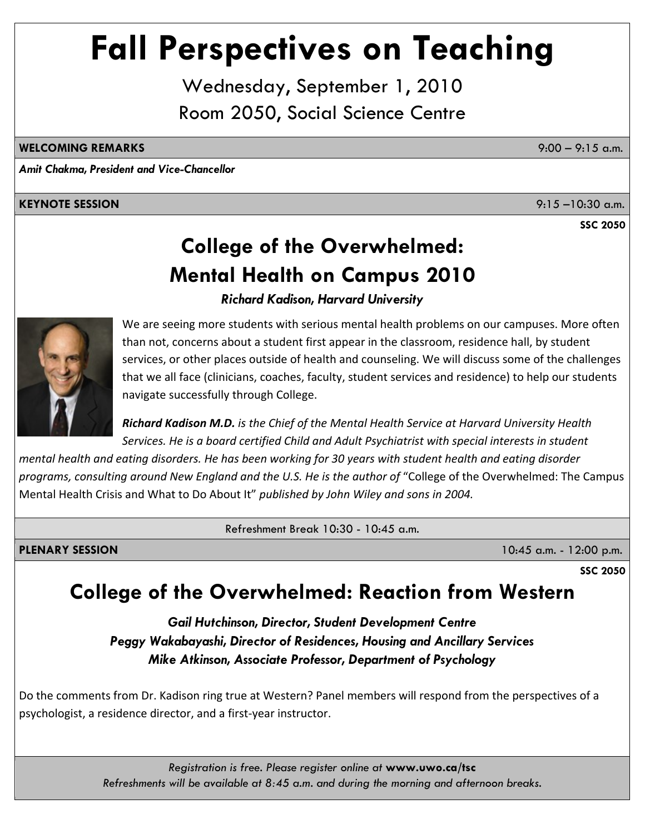# **Fall Perspectives on Teaching**

Wednesday, September 1, 2010 Room 2050, Social Science Centre

#### **WELCOMING REMARKS** 9:00 – 9:15 a.m.

*Amit Chakma, President and Vice-Chancellor*

#### **KEYNOTE SESSION** 9:15 –10:30 a.m.

**SSC 2050**

## **College of the Overwhelmed: Mental Health on Campus 2010**

*Richard Kadison, Harvard University*



We are seeing more students with serious mental health problems on our campuses. More often than not, concerns about a student first appear in the classroom, residence hall, by student services, or other places outside of health and counseling. We will discuss some of the challenges that we all face (clinicians, coaches, faculty, student services and residence) to help our students navigate successfully through College.

*Richard Kadison M.D. is the Chief of the Mental Health Service at Harvard University Health Services. He is a board certified Child and Adult Psychiatrist with special interests in student*

mental health and eating disorders. He has been working for 30 years with student health and eating disorder *programs, consulting around New England and the U.S. He is the author of* "College of the Overwhelmed: The Campu s Mental Health Crisis and What to Do About It" *published by John Wiley and sons in 2004.* 

Refreshment Break 10:30 - 10:45 a.m.

**PLENARY SESSION** 10:45 a.m. - 12:00 p.m.

### **College of the Overwhelmed: Reaction from Western**

*Gail Hutchinson, Director, Student Development Centre Peggy Wakabayashi, Director of Residences, Housing and Ancillary Services Mike Atkinson, Associate Professor, Department of Psychology* 

Do the comments from Dr. Kadison ring true at Western? Panel members will respond from the perspectives of a psychologist, a residence director, and a first‐year instructor.

> *Registration is free. Please register online at* **www.uwo.ca/tsc**  *Refreshments will be available at 8:45 a.m. and during the morning and afternoon breaks.*

**SSC 2050**